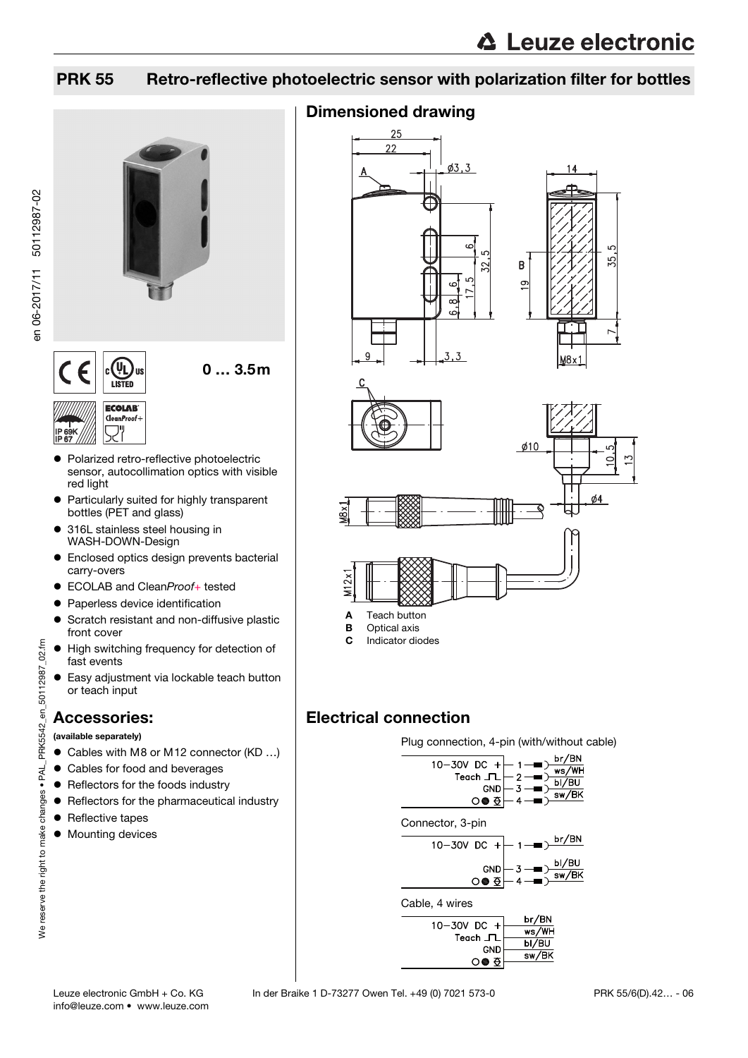## PRK 55 Retro-reflective photoelectric sensor with polarization filter for bottles



- Polarized retro-reflective photoelectric sensor, autocollimation optics with visible red light
- Particularly suited for highly transparent bottles (PET and glass)
- 316L stainless steel housing in WASH-DOWN-Design
- Enclosed optics design prevents bacterial carry-overs
- FCOLAB and CleanProof+ tested
- **Paperless device identification**
- **•** Scratch resistant and non-diffusive plastic front cover
- $\bullet$  High switching frequency for detection of fast events
- Easy adjustment via lockable teach button or teach input

## Accessories:

(available separately)

- Cables with M8 or M12 connector (KD ...)
- Cables for food and beverages
- Reflectors for the foods industry
- **•** Reflectors for the pharmaceutical industry
- Reflective tapes

We reserve the right to make changes • PAL\_PRK5542\_en\_50112987\_02.fm

We reserve the right to make changes . PAL

 $02.1<sub>mn</sub>$ 

PRK5542 en 50112987

 $\bullet$  Mounting devices



 $\overline{\mathbf{z}}$  $\overline{3}$ 



ξŚ,





 $\lambda$ 

- **A** Teach button<br>**B** Optical axis Optical axis
- C Indicator diodes

## Electrical connection

Plug connection, 4-pin (with/without cable)



**○● 至** 

info@leuze.com • www.leuze.com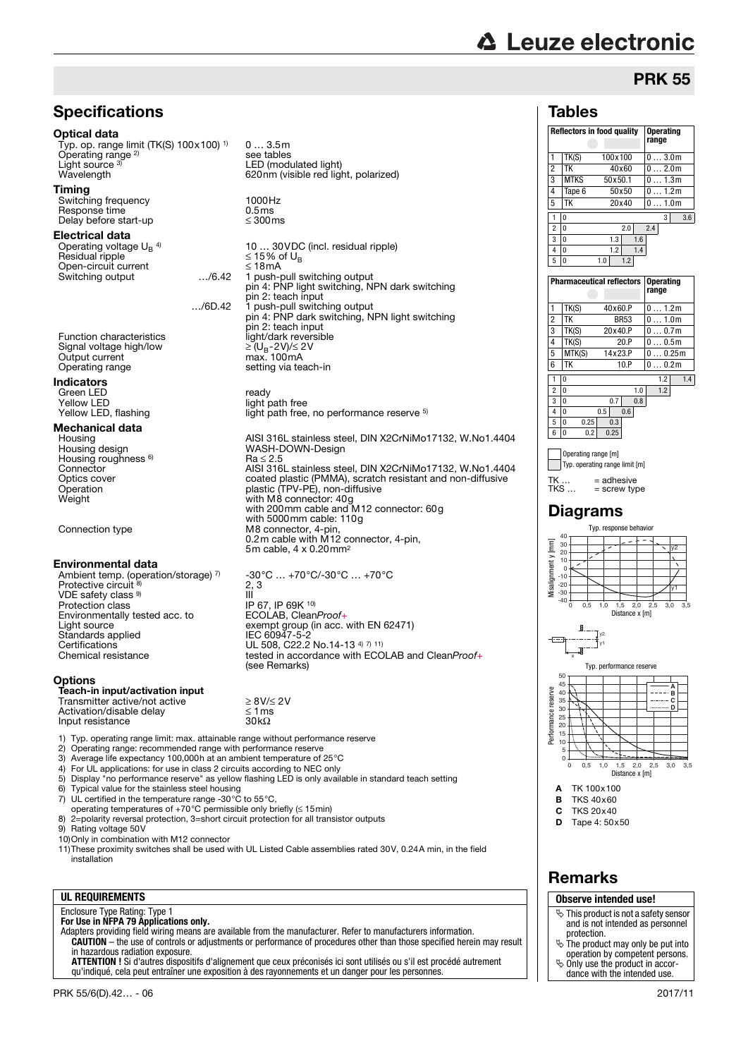# **△ Leuze electronic**

## **PRK 55**

## **Tables**

|                     |                                    | <b>Reflectors in food quality</b> | <b>Operating</b><br>range |
|---------------------|------------------------------------|-----------------------------------|---------------------------|
| 1                   | TK(S)                              | 100x100                           | $0 \ldots 3.0$ m          |
| $\overline{2}$      | ТK                                 | 40×60                             | $0 \ldots 2.0$ m          |
| 3                   | <b>MTKS</b>                        | 50x50.1                           | $0 \ldots 1.3$ m          |
| 4                   | Tape 6                             | 50x50                             | $0 \ldots 1.2$ m          |
| 5                   | ТK                                 | 20×40                             | 01.0m                     |
|                     |                                    |                                   | 3                         |
| 1<br>$\overline{c}$ | 0<br>0                             | 2.0                               | 3.6<br>2.4                |
| 3                   | 0                                  | 1.3<br>1.6                        |                           |
| 4                   | 0                                  | 1.2<br>1.4                        |                           |
| 5                   | 0                                  | 1.0<br>1.2                        |                           |
|                     |                                    | <b>Pharmaceutical reflectors</b>  | <b>Operating</b><br>range |
|                     |                                    |                                   |                           |
| 1                   | TK(S)                              | 40x60.P                           | 0 1.2m                    |
| $\overline{c}$      | ТK                                 | <b>BR53</b>                       | 01.0m                     |
| 3                   | TK(S)                              | 20x40.P                           | 00.7m                     |
| 4                   | TK(S)                              | 20.P                              | 00.5 <sub>m</sub>         |
| 5                   | MTK(S)                             | 14x23.P                           | 00.25m                    |
| 6                   | TK                                 | 10.P                              | $0 \ldots 0.2m$           |
| 1                   | 0                                  |                                   | 1.2<br>1.4                |
| $\overline{c}$      | $\Omega$                           | 1.0                               | 1.2                       |
| 3                   | 0                                  | 0.8<br>0.7                        |                           |
| 4                   | 0                                  | 0.5<br>0.6                        |                           |
| 5                   | 0<br>0.25                          | 0.3                               |                           |
| 6                   | 0<br>0.2                           | 0.25                              |                           |
|                     |                                    |                                   |                           |
|                     |                                    | Diagrams                          |                           |
|                     | 40                                 | Typ. response behavior            |                           |
|                     | 30                                 |                                   | y2                        |
|                     | 20<br>10                           |                                   |                           |
|                     | 0                                  |                                   |                           |
|                     | $-10$                              |                                   |                           |
|                     | $-20$<br>$-30$                     |                                   | y1                        |
|                     | $-40$<br>ó<br>0,5                  | 1,0<br>1,5<br>2,0                 | 2,5<br>3,0                |
|                     |                                    | Distance x [m]                    |                           |
| anment v<br>⊕       | ₿.<br>J<br>$\overline{\mathbf{x}}$ | y <sub>2</sub><br>y1              | 3,5                       |
|                     | $50 -$                             | Typ. performance reserve          |                           |
|                     | 45                                 |                                   | А                         |
|                     | 40<br>35                           |                                   | B                         |
|                     | 30                                 |                                   |                           |
|                     | 25                                 |                                   |                           |
|                     | 20<br>15                           |                                   |                           |
|                     | 10                                 |                                   |                           |
| Performance reserve | 5                                  |                                   |                           |
|                     | 0<br>0<br>$_{0,5}$                 | 1,5<br>2,0<br>1,0                 | 2,5<br>3,0<br>3,5         |
|                     |                                    | Distance x [m]                    |                           |
| Α                   |                                    | TK 100x100                        |                           |
| B                   |                                    | <b>TKS 40x60</b>                  |                           |
| C                   |                                    | <b>TKS 20x40</b>                  |                           |
| D                   |                                    | Tape 4: 50x50                     |                           |
|                     |                                    |                                   |                           |
|                     |                                    |                                   |                           |
|                     |                                    |                                   |                           |

## Remarks

| Observe intended use!                                                                        |  |  |  |  |  |
|----------------------------------------------------------------------------------------------|--|--|--|--|--|
| $\ddot{\mathcal{L}}$ This product is not a safety sensor<br>and is not intended as personnel |  |  |  |  |  |
| protection.                                                                                  |  |  |  |  |  |
| $\ddot{\phi}$ The product may only be put into                                               |  |  |  |  |  |
| operation by competent persons.                                                              |  |  |  |  |  |
| $\ddot{\phi}$ Only use the product in accor-                                                 |  |  |  |  |  |
| dance with the intended use.                                                                 |  |  |  |  |  |

## **Specifications**

#### Optical data

Typ. op. range limit (TK(S) 100x100) 1) Operating range<sup>2)</sup> Light source<sup>3</sup><br>Wavelength Light source <sup>3)</sup> LED (modulated light)<br>Wavelength 620nm (visible red light, polarized)

#### Timing

Switching frequency 1000Hz<br>Response time 10.5ms Response time  $0.5 \text{ms}$ <br>Delay before start-up  $< 300 \text{ms}$ Delay before start-up

#### Electrical data

Operating voltage  $U_B$ <sup>4)</sup><br>Residual ripple Open-circuit current<br>Switching output 18mAx 1.1/6.42 Switching output …/6.42 1 push-pull switching output pin 4: PNP light switching, NPN dark switching

…/6D.42 1 push-pull switching output

pin 2: teach input Function characteristics light/dark reversible Signal voltage high/low ≥ (UB-2V)/≤ 2V Output current max. 100mA Operating range setting via teach-in

#### Indicators

- Green LED<br>Green LED<br>Yellow LED ready ready Yellow LED<br>
Yellow LED, flashing<br>
Yellow LED, flashing<br>
Yellow LED, flashing

## **Mechanical data**<br>Housing

Housing AISI 316L stainless steel, DIN X2CrNiMo17132, W.No1.4404<br>Housing design MASH-DOWN-Design Housing roughness <sup>6)</sup><br>Connector Connector Connector AISI 316L stainless steel, DIN X2CrNiMo17132, W.No1.4404<br>Connector Connector Connected plastic (PMMA), scratch resistant and non-diffusive Optics cover coated plastic (PMMA), scratch resistant and non-diffusive<br>Operation plastic (TPV-PE), non-diffusive<br>Weight with M8 connector: 40g Operation plastic (TPV-PE), non-diffusive Weight with M8 connector: 40g

Connection type M8 connector, 4-pin,

#### Environmental data

Ambient temp. (operation/storage) 7) Protective circuit VDE safety class 9) Protection class<br>
Protection class<br>
Environmentally tested acc. to ECOLAB, CleanProof+ Environmentally tested acc. to<br>Light source Eight course<br>Standards applied<br>Certifications Certifications<br>
Chemical resistance<br>
Chemical resistance<br>
Chemical resistance<br>
Chemical resistance<br>
Chemical resistance<br>
Chemical resistance<br>
Chemical resistance<br>
Chemical resistance<br>
Chemical resistance<br>
Chemical resistan

#### **Options**

#### Teach-in input/activation input Transmitter active/not active<br>Activation/disable delay<br>Input resistance 30kΩ Activation/disable delay Input resistance

1) Typ. operating range limit: max. attainable range without performance reserve

2) Operating range: recommended range with performance reserve

- 3) Average life expectancy 100,000 h at an ambient temperature of 25 °C<br>4) For UL applications: for use in class 2 circuits according to NFC only
- For UL applications: for use in class 2 circuits according to NEC only
- 5) Display "no performance reserve" as yellow flashing LED is only available in standard teach setting
- 6) Typical value for the stainless steel housing
- 7) UL certified in the temperature range -30°C to 55°C, operating temperatures of +70°C permissible only briefly (≤ 15min)
- 
- 8) 2=polarity reversal protection, 3=short circuit protection for all transistor outputs

Rating voltage 50V

10)Only in combination with M12 connector

11)These proximity switches shall be used with UL Listed Cable assemblies rated 30V, 0.24A min, in the field installation

#### **UL REQUIREMENTS**

Enclosure Type Rating: Type 1 **For Use in NFPA 79 Applications only.**

Adapters providing field wiring means are available from the manufacturer. Refer to manufacturers information. **CAUTION** – the use of controls or adjustments or performance of procedures other than those specified herein may result in hazardous radiation exposure.

**ATTENTION !** Si d'autres dispositifs d'alignement que ceux préconisés ici sont utilisés ou s'il est procédé autrement qu'indiqué, cela peut entraîner une exposition à des rayonnements et un danger pour les personnes.

 $≤ 15%$  of U<sub>B</sub><br>≤ 18mA

pin 2: teach input

WASH-DOWN-Design

with 5000mm cable: 110g

5m cable, 4 x 0.20mm2

 $Ra \leq 2.5$ 

2, 3 III

(see Remarks)

10 … 30VDC (incl. residual ripple)

pin 4: PNP dark switching, NPN light switching

light path free, no performance reserve 5)

with 200mm cable and M12 connector: 60g

0.2m cable with M12 connector, 4-pin,

 $\frac{1}{2}$  exempt group (in acc. with EN 62471)<br>IEC 60947-5-2

tested in accordance with ECOLAB and CleanProof+

-30°C … +70°C/-30°C … +70°C

0 … 3.5m

see tables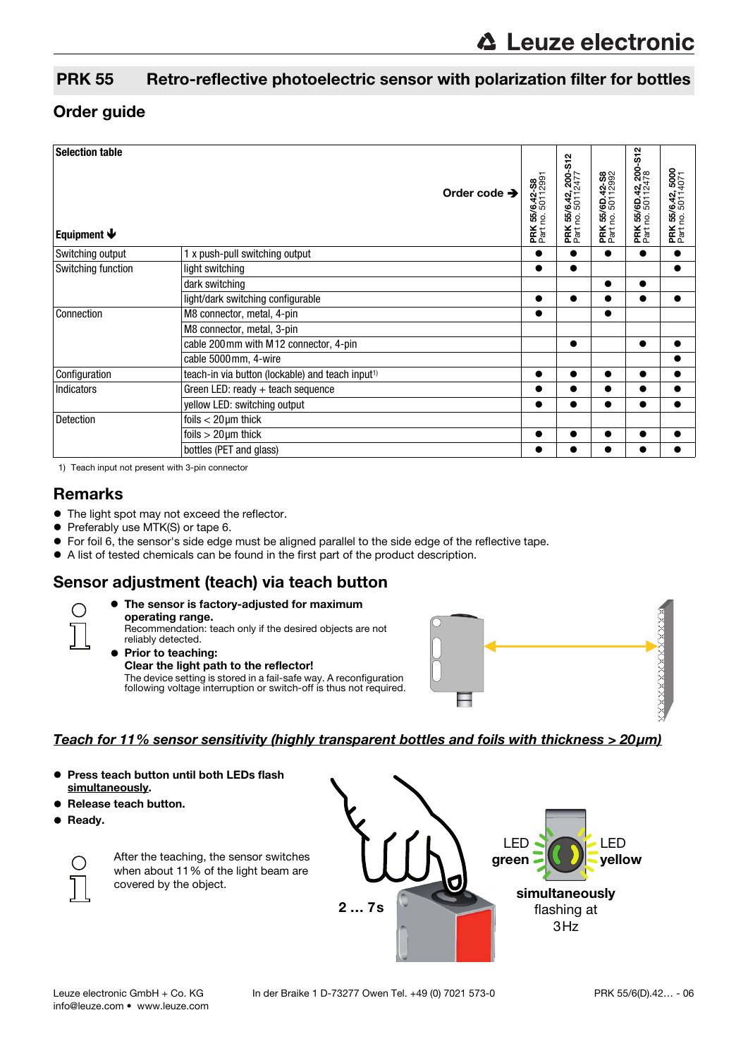## PRK 55 Retro-reflective photoelectric sensor with polarization filter for bottles

## Order guide

| <b>Selection table</b><br>Equipment $\blacklozenge$ | Order code $\rightarrow$                                     | PRK 55/6.42-S8<br>Part no. 50112991 | <b>PRK 55/6.42, 200-S12</b><br>Part no. 50112477 | PRK 55/6D.42-S8<br>Part no. 50112992 | <b>PRK 55/6D.42, 200-S12</b><br>Part no. 50112478 | <b>PRK 55/6.42, 5000</b><br>Part no. 50114071 |
|-----------------------------------------------------|--------------------------------------------------------------|-------------------------------------|--------------------------------------------------|--------------------------------------|---------------------------------------------------|-----------------------------------------------|
| Switching output                                    | 1 x push-pull switching output                               |                                     | $\bullet$                                        | $\bullet$                            | $\bullet$                                         | $\bullet$                                     |
| Switching function                                  | light switching                                              | $\bullet$                           | $\bullet$                                        |                                      |                                                   |                                               |
|                                                     | dark switching                                               |                                     |                                                  | $\bullet$                            |                                                   |                                               |
|                                                     | light/dark switching configurable                            |                                     | $\bullet$                                        |                                      |                                                   |                                               |
| Connection                                          | M8 connector, metal, 4-pin                                   |                                     |                                                  | $\bullet$                            |                                                   |                                               |
|                                                     | M8 connector, metal, 3-pin                                   |                                     |                                                  |                                      |                                                   |                                               |
|                                                     | cable 200mm with M12 connector, 4-pin                        |                                     | $\bullet$                                        |                                      | $\bullet$                                         |                                               |
|                                                     | cable 5000mm, 4-wire                                         |                                     |                                                  |                                      |                                                   |                                               |
| Configuration                                       | teach-in via button (lockable) and teach input <sup>1)</sup> |                                     | $\bullet$                                        |                                      |                                                   |                                               |
| <b>Indicators</b>                                   | Green LED: ready $+$ teach sequence                          |                                     | $\bullet$                                        | $\bullet$                            |                                                   |                                               |
|                                                     | yellow LED: switching output                                 | $\bullet$                           | $\bullet$                                        | $\bullet$                            | $\bullet$                                         |                                               |
| Detection                                           | foils $<$ 20 $\mu$ m thick                                   |                                     |                                                  |                                      |                                                   |                                               |
|                                                     | foils $>20 \mu m$ thick                                      |                                     |                                                  |                                      |                                                   |                                               |
|                                                     | bottles (PET and glass)                                      |                                     |                                                  |                                      |                                                   |                                               |

1) Teach input not present with 3-pin connector

## **Remarks**

- $\bullet$  The light spot may not exceed the reflector.
- **•** Preferably use MTK(S) or tape 6.
- For foil 6, the sensor's side edge must be aligned parallel to the side edge of the reflective tape.
- A list of tested chemicals can be found in the first part of the product description.

## Sensor adjustment (teach) via teach button



#### The sensor is factory-adjusted for maximum operating range.

Recommendation: teach only if the desired objects are not reliably detected.



#### **Prior to teaching:** Clear the light path to the reflector!

The device setting is stored in a fail-safe way. A reconfiguration following voltage interruption or switch-off is thus not required.



#### Teach for 11% sensor sensitivity (highly transparent bottles and foils with thickness > 20μm)

- **Press teach button until both LEDs flash** simultaneously.
- Release teach button.
- **•** Ready.



After the teaching, the sensor switches when about 11% of the light beam are covered by the object.

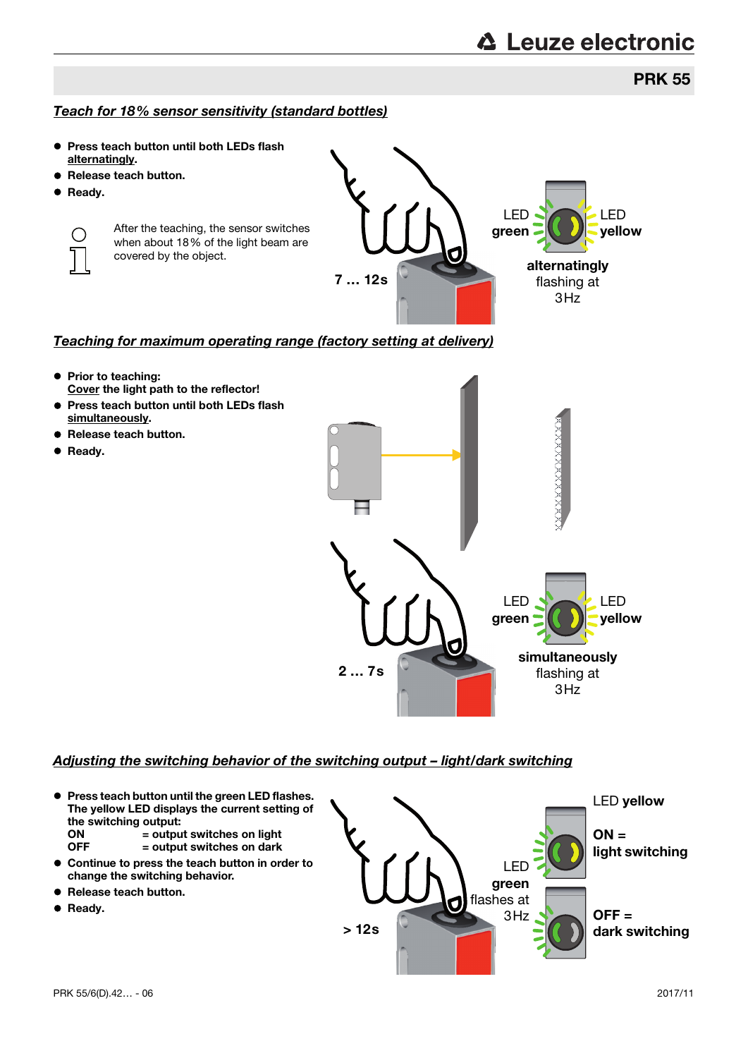## **PRK 55**

### Teach for 18% sensor sensitivity (standard bottles)

- Press teach button until both LEDs flash alternatingly.
- Release teach button.
- **•** Ready.

 $(\ )$ 

After the teaching, the sensor switches when about 18% of the light beam are covered by the object.

7 … 12s alternatingly flashing at  $3H<sub>z</sub>$ LED green LED yellow

### Teaching for maximum operating range (factory setting at delivery)

- Prior to teaching: Cover the light path to the reflector!
- **Press teach button until both LEDs flash** simultaneously.
- Release teach button.
- **Ready.**



#### Adjusting the switching behavior of the switching output – light/dark switching

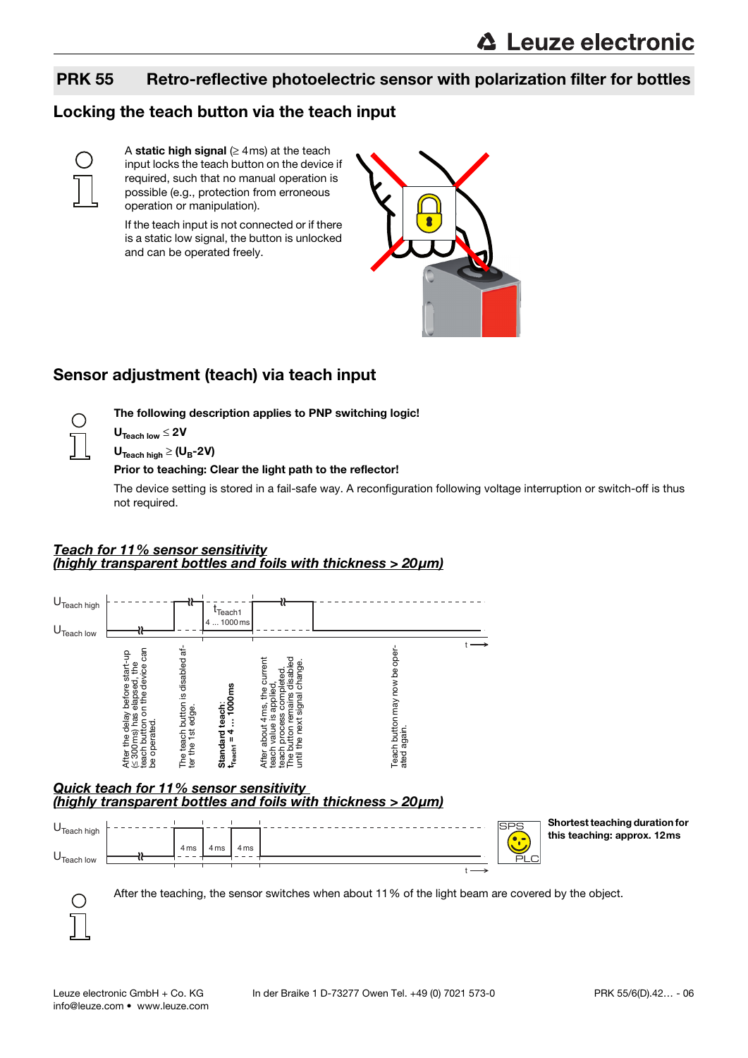## PRK 55 Retro-reflective photoelectric sensor with polarization filter for bottles

## Locking the teach button via the teach input



A static high signal ( $\geq$  4ms) at the teach input locks the teach button on the device if required, such that no manual operation is possible (e.g., protection from erroneous operation or manipulation).

If the teach input is not connected or if there is a static low signal, the button is unlocked and can be operated freely.



## Sensor adjustment (teach) via teach input



 $U_{\text{Teach low}} \leq 2V$ 

 $U_{\text{Teach high}} \geq (U_B - 2V)$ 

#### Prior to teaching: Clear the light path to the reflector!

The following description applies to PNP switching logic!

The device setting is stored in a fail-safe way. A reconfiguration following voltage interruption or switch-off is thus not required.

#### Teach for 11% sensor sensitivity (highly transparent bottles and foils with thickness > 20μm)



# Quick teach for 11% sensor sensitivity<br>(highly transparent bottles and foils with thickness > 20µm)



Shortest teaching duration for this teaching: approx. 12ms

After the teaching, the sensor switches when about 11% of the light beam are covered by the object.